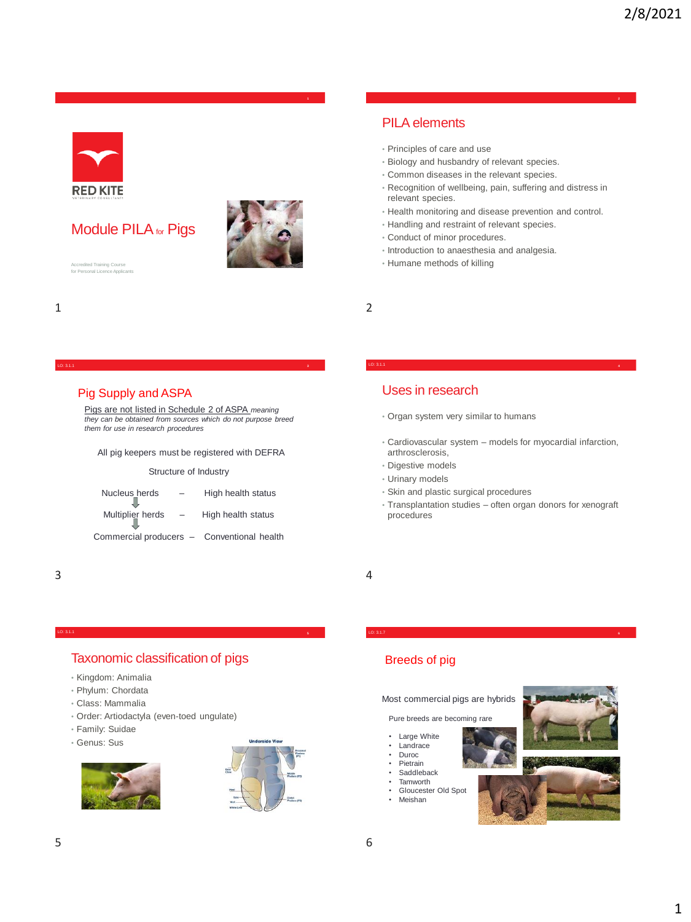

# Module PILA for Pigs



Accredited Training Course for Personal Licence Applicants

## PILA elements

- Principles of care and use
- Biology and husbandry of relevant species.
- Common diseases in the relevant species.
- Recognition of wellbeing, pain, suffering and distress in relevant species.
- Health monitoring and disease prevention and control.
- Handling and restraint of relevant species.
- Conduct of minor procedures.
- Introduction to anaesthesia and analgesia.
- Humane methods of killing
- 1 2

#### Pig Supply and ASPA

Pigs are not listed in Schedule 2 of ASPA *meaning they can be obtained from sources which do not purpose breed them for use in research procedures*

LO: 3.1.1 **3**

All pig keepers must be registered with DEFRA

Structure of Industry



### Uses in research

- Organ system very similar to humans
- Cardiovascular system models for myocardial infarction, arthrosclerosis,

LO: 3.1.1 **<sup>4</sup>**

- Digestive models
- Urinary models
- Skin and plastic surgical procedures
- Transplantation studies often organ donors for xenograft procedures

LO: 3.1.7 **<sup>6</sup>**

 $3 \overline{4}$ 

#### LO: 3.1.1 **<sup>5</sup>**

#### Taxonomic classification of pigs

- Kingdom: Animalia
- Phylum: Chordata
- Class: Mammalia
- Order: Artiodactyla (even-toed ungulate)
- Family: Suidae
- Genus: Sus





## Breeds of pig

Most commercial pigs are hybrids

Pure breeds are becoming rare

- Large White
- **Landrace**
- Duroc
- **Pietrain Saddleback**
- **Tamworth**
- Gloucester Old Spot
- **Meishan**

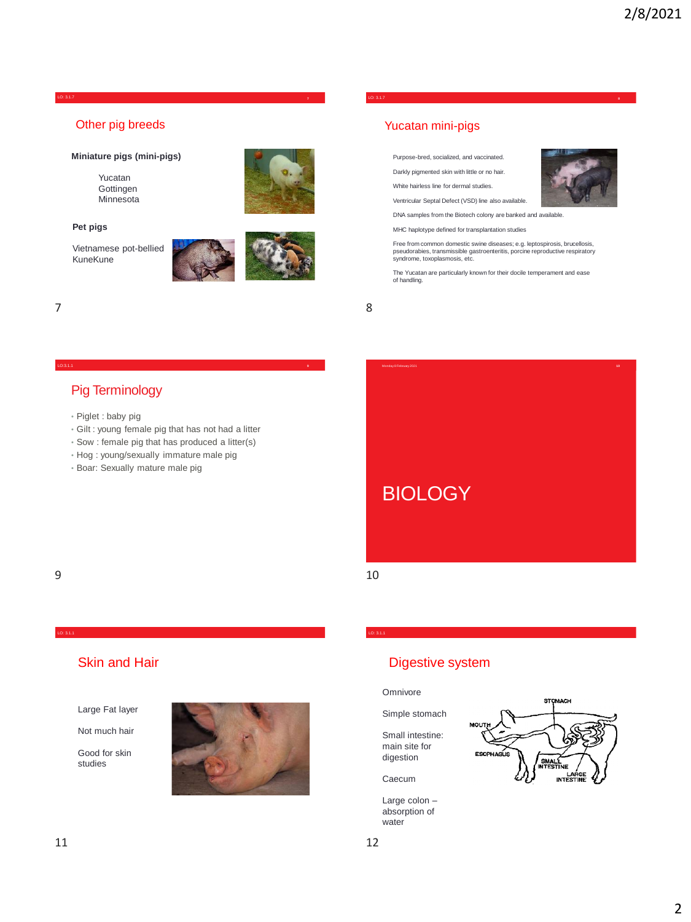#### LO: 3.1.7 **<sup>7</sup>**

#### Other pig breeds

#### **Miniature pigs (mini-pigs)**

Yucatan **Gottingen** Minnesota



Vietnamese pot-bellied KuneKune



7 8

## Pig Terminology

- Piglet : baby pig
- Gilt : young female pig that has not had a litter

LO:3.1.1 **9**

- Sow : female pig that has produced a litter(s)
- Hog : young/sexually immature male pig
- Boar: Sexually mature male pig

# Purpose-bred, socialized, and vaccinated.

Darkly pigmented skin with little or no hair. White hairless line for dermal studies.

Yucatan mini-pigs

Ventricular Septal Defect (VSD) line also available.

- 
- DNA samples from the Biotech colony are banked and available.
- MHC haplotype defined for transplantation studies

Free from common domestic swine diseases; e.g. leptospirosis, brucellosis, pseudorabies, transmissible gastroenteritis, porcine reproductive respiratory syndrome, toxoplasmosis, etc.

LO: 3.1.7 **<sup>8</sup>**

The Yucatan are particularly known for their docile temperament and ease of handling.



LO: 3.1.1

## $9 \hspace{2.5cm} 10$

LO: 3.1.1

# Skin and Hair

Large Fat layer

Not much hair

Good for skin studies



## Digestive system

Omnivore

Simple stomach

Small intestine: main site for digestion

Caecum

Large colon – absorption of water

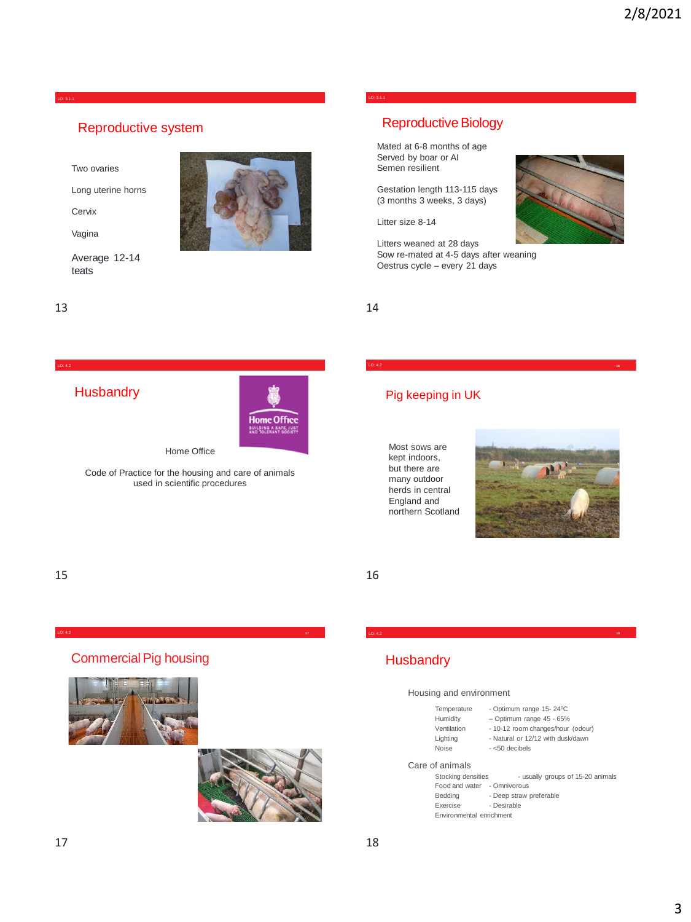LO: 3.1.1

## Reproductive system

Two ovaries

Long uterine horns

Cervix

Vagina

Average 12-14 teats



## **Husbandry**



Home Office

Code of Practice for the housing and care of animals used in scientific procedures

LO: 4.2 **<sup>17</sup>**

#### LO: 3.1.1

## Reproductive Biology

Mated at 6-8 months of age Served by boar or AI Semen resilient

Gestation length 113-115 days (3 months 3 weeks, 3 days)

Litter size 8-14

Litters weaned at 28 days Sow re-mated at 4-5 days after weaning Oestrus cycle – every 21 days

LO: 4.2 **16**



Most sows are kept indoors, but there are many outdoor herds in central England and northern Scotland



 $15$  16

### Commercial Pig housing





# **Husbandry**

#### Housing and environment

| Temperature | - Optimum range 15-24°C      |
|-------------|------------------------------|
| Humidity    | $-$ Optimum range 45 - 65%   |
| Ventilation | - 10-12 room changes/hour    |
| Lighting    | - Natural or 12/12 with dusk |
| Noise       | $-$ <50 decibels             |
|             |                              |

– Optimum range 45 - 65% - 10-12 room changes/hour (odour) - Natural or 12/12 with dusk/dawn

LO: 4.2 **18**

Care of animals

| ---------------             |                                   |
|-----------------------------|-----------------------------------|
| Stocking densities          | - usually groups of 15-20 animals |
| Food and water - Omnivorous |                                   |
| Bedding                     | - Deep straw preferable           |
| Exercise                    | - Desirable                       |
| Environmental enrichment    |                                   |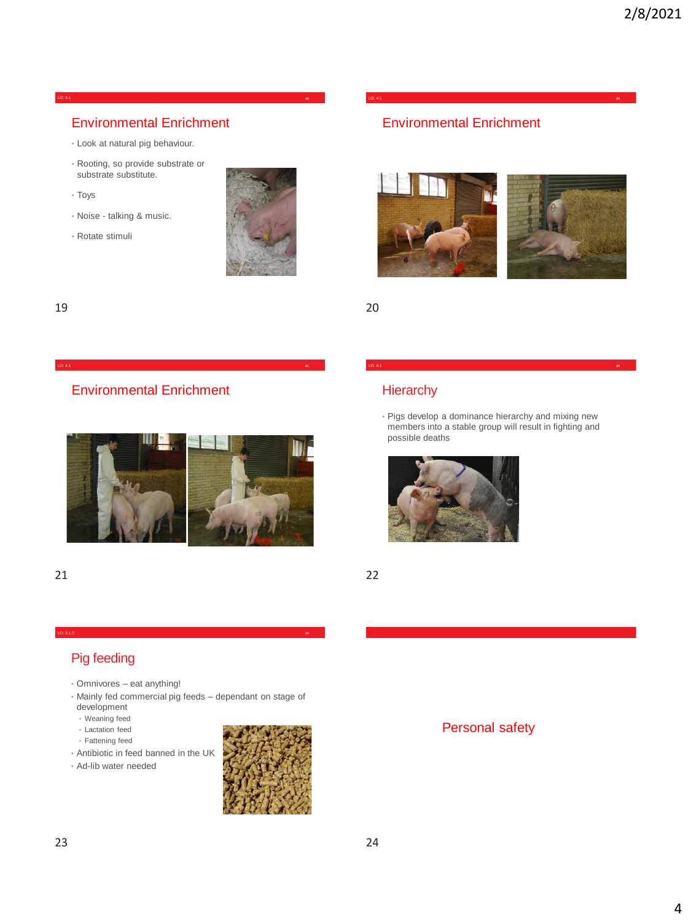#### LO: 4.1 **19**

## Environmental Enrichment

- Look at natural pig behaviour.
- Rooting, so provide substrate or substrate substitute.
- Toys
- Noise talking & music.
- Rotate stimuli



#### 19 20

## Environmental Enrichment



LO: 4.1 **21**

#### 21 22

# **Hierarchy**

• Pigs develop a dominance hierarchy and mixing new members into a stable group will result in fighting and possible deaths

LO: 4.1 **22**



Environmental Enrichment

LO: 4.1 **20**

| × | ٠<br>×. |
|---|---------|
|   | ٠       |
|   |         |

## Pig feeding

- Omnivores eat anything!
- Mainly fed commercial pig feeds dependant on stage of development

LO: 3.1.5 **23**

- Weaning feed
- Lactation feed
- Fattening feed
- Antibiotic in feed banned in the UK
- Ad-lib water needed



#### Personal safety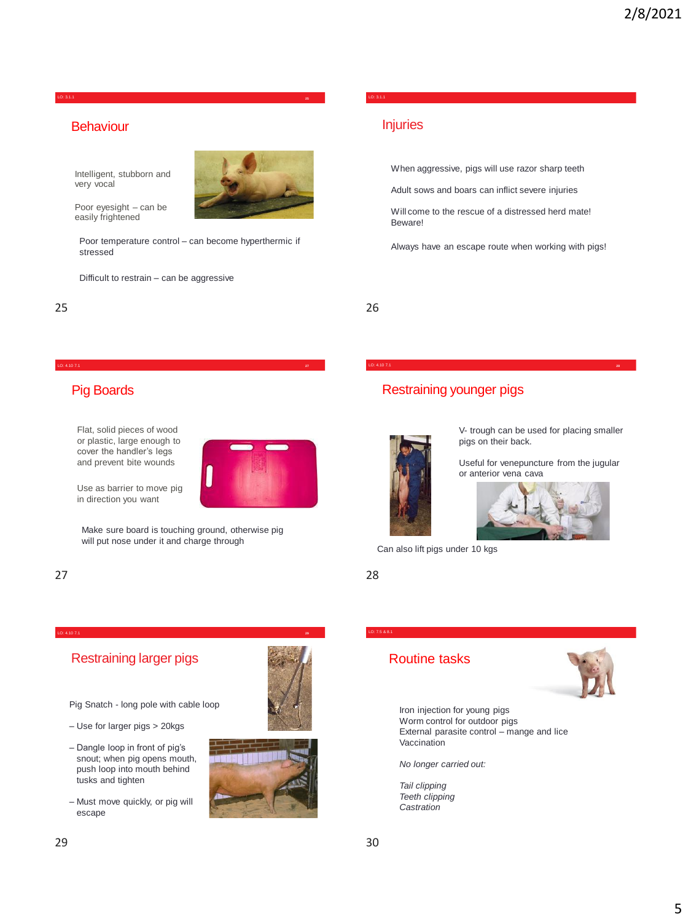LO: 3.1.1 **<sup>25</sup>**

### **Behaviour**

Intelligent, stubborn and very vocal

Poor eyesight – can be easily frightened



Poor temperature control – can become hyperthermic if stressed

Difficult to restrain – can be aggressive

# Injuries

LO: 3.1.1

When aggressive, pigs will use razor sharp teeth

Adult sows and boars can inflict severe injuries

Will come to the rescue of a distressed herd mate! Beware!

Always have an escape route when working with pigs!

LO: 4.10 7.1 **28**

#### LO: 4.10 7.1 **27**

### Pig Boards

Flat, solid pieces of wood or plastic, large enough to cover the handler's legs and prevent bite wounds



Use as barrier to move pig in direction you want

Make sure board is touching ground, otherwise pig will put nose under it and charge through

LO: 4.10 7.1 **29**

#### 27 28

## Restraining younger pigs



V- trough can be used for placing smaller pigs on their back.

Useful for venepuncture from the jugular or anterior vena cava



Can also lift pigs under 10 kgs

LO: 7.5 & 8.1

# Restraining larger pigs

Pig Snatch - long pole with cable loop

- Use for larger pigs > 20kgs
- Dangle loop in front of pig's snout; when pig opens mouth, push loop into mouth behind tusks and tighten
- Must move quickly, or pig will escape





## Routine tasks



Iron injection for young pigs Worm control for outdoor pigs External parasite control – mange and lice Vaccination

*No longer carried out:*

*Tail clipping Teeth clipping Castration*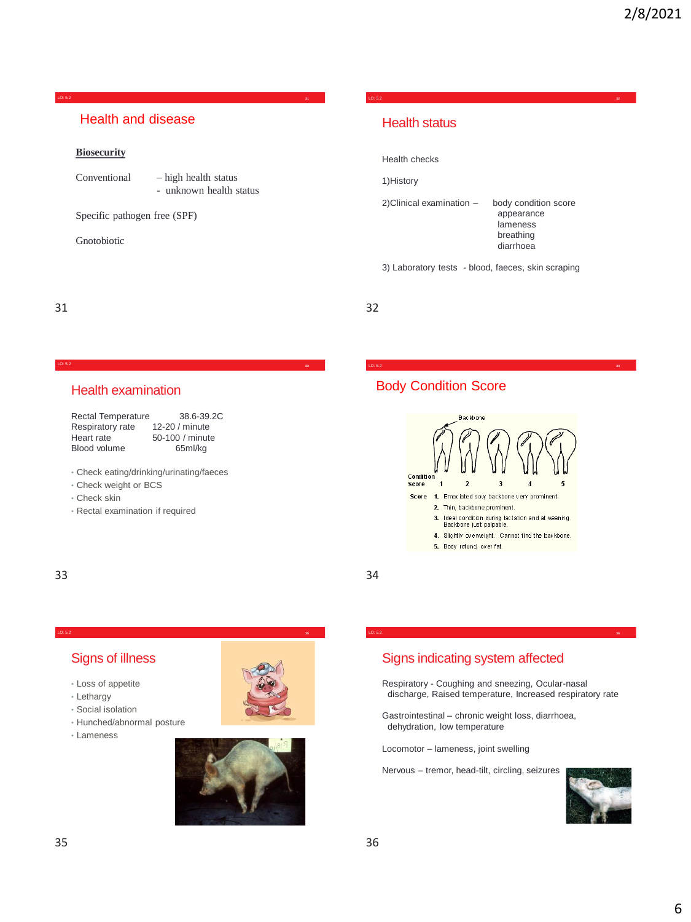LO: 5.2 **31**

### Health and disease

#### **Biosecurity**

Conventional – high health status - unknown health status

Specific pathogen free (SPF)

Gnotobiotic

# Health status

Health checks

1)History

2)Clinical examination – body condition score

appearance lameness breathing diarrhoea

LO: 5.2 **32**

3) Laboratory tests - blood, faeces, skin scraping

31 32

## Health examination

| <b>Rectal Temperature</b> | 38.6-39.2C      |
|---------------------------|-----------------|
| Respiratory rate          | 12-20 / minute  |
| Heart rate                | 50-100 / minute |
| Blood volume              | 65ml/kg         |

**<sup>33</sup>** LO: 5.2

LO: 5.2 **35**

- Check eating/drinking/urinating/faeces
- Check weight or BCS
- Check skin
- Rectal examination if required

33 34

## Body Condition Score



LO: 5.2 **34**

## Signs of illness

- Loss of appetite
- Lethargy
- Social isolation
- Hunched/abnormal posture
- Lameness





## Signs indicating system affected

Respiratory - Coughing and sneezing, Ocular-nasal discharge, Raised temperature, Increased respiratory rate

LO: 5.2 **36**

Gastrointestinal – chronic weight loss, diarrhoea, dehydration, low temperature

Locomotor – lameness, joint swelling

Nervous – tremor, head-tilt, circling, seizures

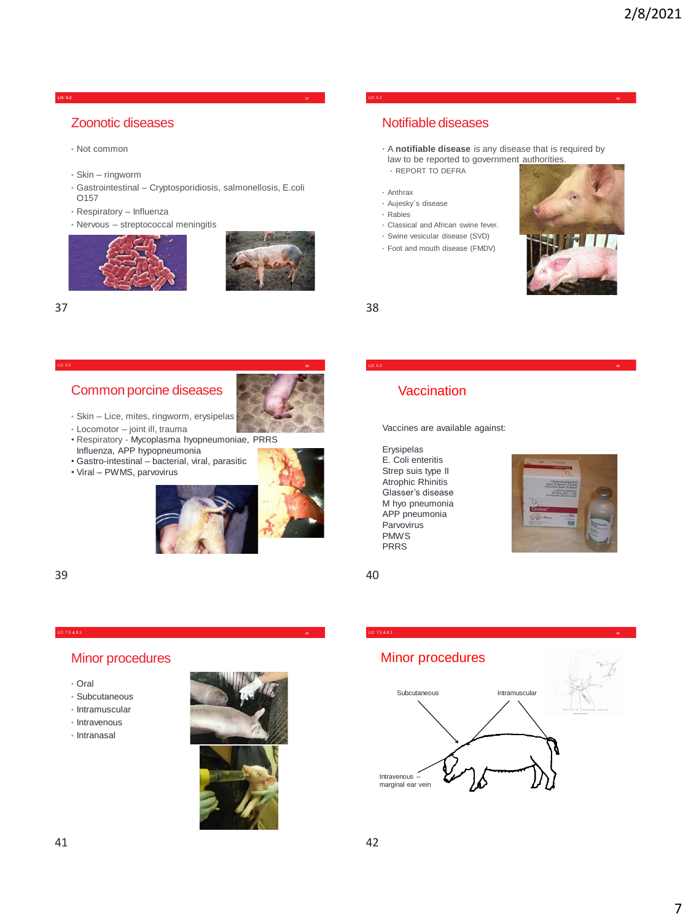#### **LO: 5.2 37**

## Zoonotic diseases

- Not common
- Skin ringworm
- Gastrointestinal Cryptosporidiosis, salmonellosis, E.coli O157
- Respiratory Influenza
- Nervous streptococcal meningitis



## Notifiable diseases

• A **notifiable disease** is any disease that is required by law to be reported to government\_authorities. • REPORT TO DEFRA

LO: 5.2 **40**

LO: 5.2 **38**

- Anthrax
- Aujesky`s disease
- Rabies
- Classical and African swine fever.
- Swine vesicular disease (SVD)
- Foot and mouth disease (FMDV)



 $37$  38

#### LO: 5.2 **39**

## Common porcine diseases



- Skin Lice, mites, ringworm, erysipelas
- Locomotor joint ill, trauma
- Respiratory Mycoplasma hyopneumoniae, PRRS Influenza, APP hypopneumonia
- Gastro-intestinal bacterial, viral, parasitic
- Viral PWMS, parvovirus



39 40

#### LO: 7.5 & 8.1 **<sup>41</sup>**

#### Minor procedures

- Oral
- Subcutaneous
- Intramuscular
- Intravenous
- Intranasal



## **Vaccination**

Vaccines are available against:

Erysipelas E. Coli enteritis Strep suis type II Atrophic Rhinitis Glasser's disease M hyo pneumonia APP pneumonia Parvovirus PMWS PRRS



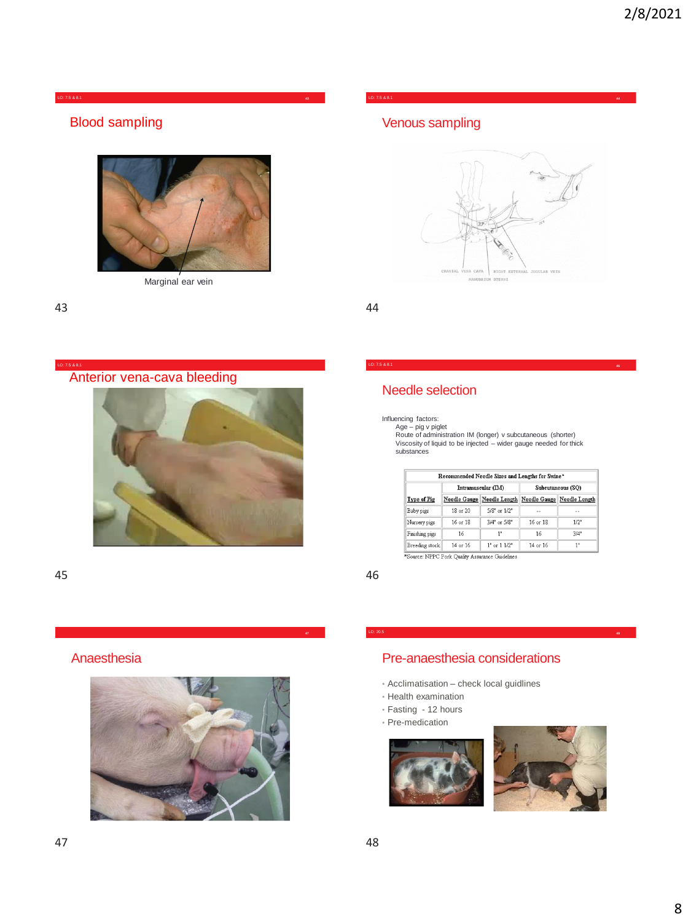LO: 7.5 & 8.1 **43**

## Blood sampling



Marginal ear vein

43 44

Anterior vena-cava bleeding



45 46

## Anaesthesia



## Venous sampling



LO: 7.5 & 8.1 **44**

Needle selection

Influencing factors: Age – pig v piglet Route of administration IM (longer) v subcutaneous (shorter) Viscosity of liquid to be injected – wider gauge needed for thick substances

|                | Intramuscular (IM) |                                                       | Subcutaneous (SO) |      |
|----------------|--------------------|-------------------------------------------------------|-------------------|------|
| Type of Pig    |                    | Needle Gauge Needle Length Needle Gauge Needle Length |                   |      |
| Baby pigs      | 18 or 20           | 5/8" or 1/2"                                          | $\sim$            |      |
| Nursery pigs   | 16 or 18           | $3/4"$ or $5/8"$                                      | 16 or 18          | 1/2" |
| Finishing pigs | 16                 | 1*                                                    | 16                | 3/4" |
| Breeding stock | 14 or 16           | $1"$ or $11/2"$                                       | 14 or 16          | 1"   |



LO: 20.5 **<sup>48</sup>**

- Acclimatisation check local guidlines
- Health examination
- Fasting 12 hours
- Pre-medication



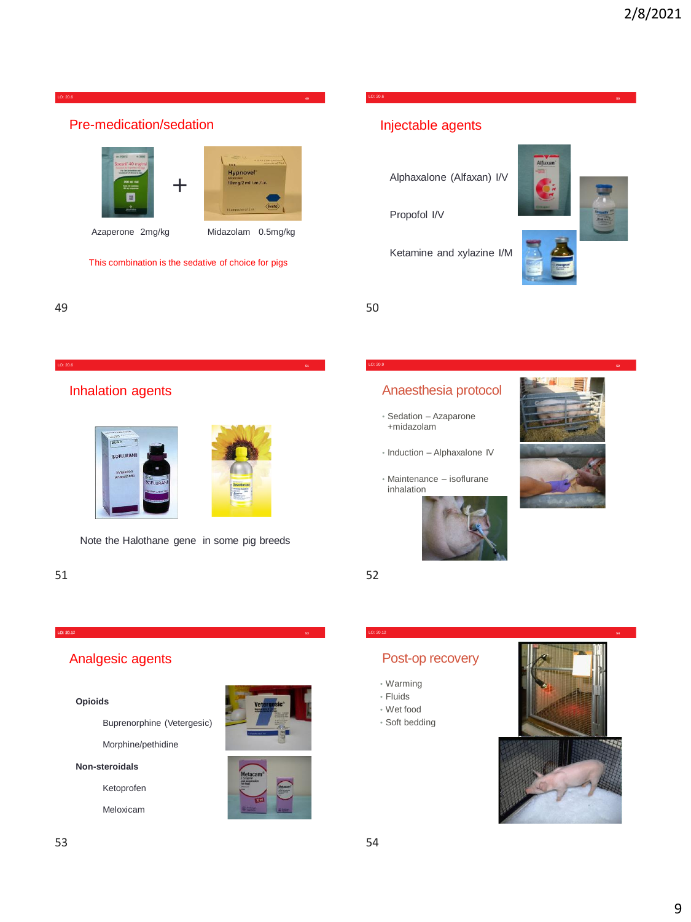

LO: 20.6 **<sup>51</sup>**

## Inhalation agents



Note the Halothane gene in some pig breeds

#### 51 52

# Injectable agents

Alphaxalone (Alfaxan) I/V

LO: 20.6 **<sup>50</sup>**

Propofol I/V

Ketamine and xylazine I/M



49 50

## Anaesthesia protocol

- Sedation Azaparone +midazolam
- Induction Alphaxalone IV
- Maintenance isoflurane inhalation





LO: 20.1 20.12 **<sup>53</sup>**

## Analgesic agents

#### **Opioids**

Buprenorphine (Vetergesic)

Morphine/pethidine

#### **Non-steroidals**

Ketoprofen

Meloxicam





# Post-op recovery

- Warming
- Fluids
- Wet food
- Soft bedding